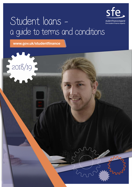

# Student loans a guide to terms and conditions

www.gov.uk/studentfinance

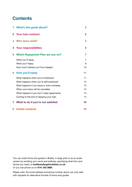### **Contents**

| 1.       | <b>What's this guide about?</b>             | $\overline{2}$ |
|----------|---------------------------------------------|----------------|
| $\bf{2}$ | <b>Your loan contract</b>                   | 2              |
| 3        | Who does what?                              | 3              |
| 4        | <b>Your responsibilities</b>                | 4              |
| 5        | <b>Which Repayment Plan are you on?</b>     | 7              |
|          | When you'll repay                           | 7              |
|          | What you'll repay                           | 8              |
|          | How much interest you'll be charged         | 10             |
| 6        | How you'll repay                            | 11             |
|          | What happens when you're employed           | 11             |
|          | What happens when you're self-employed      | 12             |
|          | What happens if you travel or work overseas | 13             |
|          | When your loans will be cancelled           | 13             |
|          | What happens if you don't make repayments   | 14             |
|          | Coming to the end of repaying your loan     | 14             |
| 7        | What to do if you're not satisfied          | 15             |
| 8        | <b>Useful contacts</b>                      | 16             |

You can order forms and guides in Braille, in large print or as an audio version by emailing your name and address, specifying what form and format you need, to [brailleandlargefonts@slc.co.uk](mailto:brailleandlargefonts@slc.co.uk). Or you can phone us on 0141 243 3686.

Please note: the email address and phone number above can only deal with requests for alternative formats of forms and guides.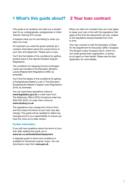### 1 What's this guide about? 2 Your loan contract

This guide is for students who take out a student loan for an undergraduate, postgraduate or Initial Teacher Training (ITT) course.

It explains what you're committing to when you take out a loan.

It's important you read this guide carefully as it contains information about the current terms of your loan and repayment. Please save a copy.

You'll find full details of the conditions for getting student loans in the relevant Student Support Regulations.

The conditions for repaying Income Contingent Loans are included in the Education (Student Loans) (Repayment) Regulations 2009, as amended.

You'll find full details of the conditions for getting a Postgraduate Master's Loan in The Education (Postgraduate Master's Degree Loan) Regulations 2016, as amended.

You can read these regulations online at [www.legislation.gov.uk](http://www.legislation.gov.uk) or order them from The Stationery Office (TSO) Ltd (phone order line 0333 202 5070). Or order them online at:

#### [www.tsoshop.co.uk](http://www.tsoshop.co.uk)

The regulations may change from time to time and this means the terms of your loan may also change. This guide will be updated to reflect any changes and it's your responsibility to ensure you have the most up-to-date version.

#### Further information

If you still have questions about the terms of your loan after reading this guide, go to [www.slc.co.uk/studentloanrepayment](http://www.slc.co.uk/studentloanrepayment)

A separate guide to terms and conditions is available for Advanced Learner Loans. You can download a copy from [www.gov.uk](http://www.gov.uk)

When you take out a student loan you must agree to repay your loan in line with the regulations that apply at the time the repayments are due, subject to the regulations being amended from time to time.

Your loan contract is with the Secretary of State for the Department for Education (DfE) in England. The Student Loans Company (SLC), which is a non-profit government organisation, is acting as an agent on their behalf. Please see the loan application for more details.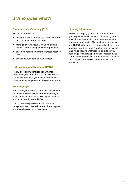### 3 Who does what?

### Student Loans Company (SLC)

SLC is responsible for:

- paying the loans for English, Welsh, Northern Irish, Scottish and EU students,
- managing your account, including adding interest and refunding any over-repayments,
- collecting repayments from overseas repayers, and
- answering questions about your loan.

#### HM Revenue and Customs (HMRC)

HMRC collects student loan repayments from employers through the UK tax system. If you're self employed you'll repay through self assessment when you complete your tax returns.

#### Your employer

Your employer collects student loan repayments on behalf of HMRC directly from your salary in a similar way to income tax (PAYE) and National Insurance contributions (NICs).

If you have any questions about how your repayments are collected through the tax system, you should speak to your employer.

#### Sharing information

HMRC can legally give SLC information about your repayments. However, HMRC can't give SLC any information about your tax arrangements, as these are confidential. Also, neither your employer nor HMRC will receive any details about your loan account from SLC, other than that you have a loan and which repayment threshold applies to you (see page 7 for details). The Data Protection Act 1998 covers personal information passed between SLC, HMRC and the Department for Work and Pensions.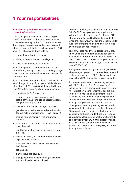### 4 Your responsibilities

#### You need to provide complete and correct information

When you apply for a loan, you'll have to give specific information so that repayments can be collected when they're due. You must make sure that you provide complete and correct information when you take out the loan and you must tell SLC about any changes to these details:

- during the application process;
- while you're at university or college; and
- until you've repaid your loan in full.

If you don't give SLC accurate and up-to-date information, you may have to pay a penalty charge or repay the loan and any interest and penalties in one lump sum.

If you don't keep in touch with us, or fail to advise us of changes to any of your personal details, an interest rate of RPI plus 3% will be applied to your Plan 2 loan (see page 7), whatever your income.

You must also let SLC know if you:

- change your name, phone number or the details of the bank or building society account that your loan is paid into,
- change your university, college or course,
- get a bursary, healthcare award or scholarship (for example, a Department of Health bursary),
- change your home, term-time or parental address,
- know that the start or end dates of your course have changed,
- don't begin to study, leave your course or are expelled,
- are absent from your course for more than 60 days because of illness,
- are absent for a period for any reason other than illness,
- get married,
- plan to leave the country, or
- change your employment status (for example from employed to self employed).

You must provide your National Insurance number (NINO). SLC can't process your application without this, unless you're an EU student. EU students who have a NINO should provide this when they apply. SLC will ask the Department for Work and Pensions to confirm this, in order to avoid fraudulent applications.

HMRC will also need these details so that they know you have a student loan and can collect repayments, or ask your employer to do so. If you don't have a NINO, or have lost it, you should call HMRC's National Insurance registrations helpline on 0300 200 3500.

Repayments collected by your employer will be shown on your payslip. You should keep a record of these repayments as SLC only receive these details from HMRC after the tax year has ended.

If you enter into one or more loan agreements with SLC before you're 18 years old, you'll be asked to' ratify' the agreement(s) once you turn 18. Ratification means to formally declare that you entered into the loan agreement. This is a necessary precondition of your eligibility for student support if you wish to apply for further funding after you turn 18. Once you are 18 or older, you will ratify any loan agreement which you entered into before you reached the age of 18 years old when agreeing to the terms and conditions for further student finance. If you've entered into a loan agreement before turning 18 and don't apply for any further student finance, SLC will contact you about the ratification process, to ensure that your eligibility for future funding is not affected.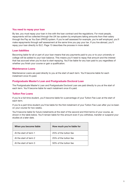#### You need to repay your loan

By law, you must repay your loan in line with the loan contract and the regulations. For most people, repayments will be collected through the UK tax system by employers taking amounts from their salary through the Pay as You Earn (PAYE) system. If you're self assessed for example, you're self employed, you'll make repayments through self assessment at the same time you pay your tax. If you live abroad, you'll repay your loan directly to SLC. Page 13 describes the process in more detail.

#### Loan liabilities

Becoming liable for all or part of your loan means that any payments paid to you or to your university or college will be added to your loan balance. This means you'll need to repay that amount and the interest that has accrued when you're due to start repaying. You'll be liable for any loan paid to you regardless of whether you finish your course or gain a qualification.

#### Maintenance Loans

Maintenance Loans are paid directly to you at the start of each term. You'll become liable for each instalment once it's paid.

#### Postgraduate Master's Loan and Postgraduate Doctoral Loan

The Postgraduate Master's Loan and Postgraduate Doctoral Loan are paid directly to you at the start of each term. You'll become liable for each instalment once it's paid.

#### Tuition Fee Loans

If you're a full-time student, you'll become liable for a percentage of your Tuition Fee Loan at the start of each term.

If you're a part-time student you'll be liable for the first instalment of your Tuition Fee Loan after you've been on your course for two weeks.

You'll become liable for future instalments at the start of the second and third terms of your course, as shown in the table below. You'll remain liable for this amount even if you withdraw, transfer or suspend your studies at a later date.

| When you become liable | How much you're liable for |
|------------------------|----------------------------|
| At the start of term 1 | 25% of the tuition fee     |
| At the start of term 2 | 25% of the tuition fee     |
| At the start of term 3 | 50% of the tuition fee     |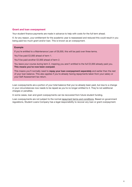#### Grant and loan overpayment

Your student finance payments are made in advance to help with costs for the full term ahead.

If, for any reason, your entitlement for the academic year is reassessed and reduced this could result in you being paid too much grant and/or loan. This is known as an overpayment.

#### Example

If you're entitled to a Maintenance Loan of £6,000, this will be paid over three terms.

You'll be paid £2,000 ahead of term 1.

You'll be paid another £2,000 ahead of term 2.

You leave your course during term 2, meaning you aren't entitled to the full £2,000 already paid you. This means you've now been overpaid.

This means you'll normally need to repay your loan overpayment separately and earlier than the rest of your loan balance. This also applies if you're already having repayments taken from your salary or your Self Assessment tax return.

Loan overpayments are a portion of your total balance that you've already been paid, but due to a change in your circumstances now needs to be repaid as you're no longer entitled to it. They're not additional charges or penalties.

In some cases, loan and grant overpayments can be recovered from future student funding.

Loan overpayments are not subject to the normal repayment terms and conditions. Based on government regulations, Student Loans Company has a legal responsibility to recover any loan or grant overpayment.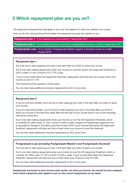### 5 Which repayment plan are you on?

The repayment arrangements that apply to your loan will depend on when you started your course.

Look out for the coloured boxes that explain the repayment process that applies to you.

Repayment plan 1 - If you started your course before 1 September 2012

Repayment plan 2 - If you started a full-time or part-time undergraduate course on or after 1 September 2012

Postgraduate Loan - If you started a Postgraduate Master's degree or Doctoral course on or after 1 August 2016

#### Repayment plan 1

You'll be due to start repaying your loan in the April after you finish or leave your course.

You'll only start making repayments when your income is over the current UK repayment threshold of £341 a week, £1,481 a month or £17,775 a year.

 If your income falls below the repayment threshold, repayments will stop and only re-start when your income is over £17,775.

This threshold will be uprated in future years.

You can also make additional voluntary repayments to SLC at any time.

#### Repayment plan 2

If you're a full-time student you'll be due to start repaying your loan in the April after you finish or leave your course.

If you're a part-time student, you'll be due to start repaying your loan in the April after you finish or leave your course or the April four years after the first day of your course (even if you're still studying), whichever comes first.

You'll only start making repayments when your income is over the UK repayment threshold, which is currently £21,000 a year, £1,750 a month or £404 a week. Subject to Parliamentary approval, this is expected to change to £25,000 a year from 6 April 2018. If your income falls below the repayment threshold, repayments will stop and only re-start when your income is over the threshold.

You can also make additional voluntary repayments to SLC at any time.

#### Postgraduate Loan (including Postgraduate Master's and Postgraduate Doctoral)

You'll be due to start repaying your loan in the April after you finish or leave your course.

You'll only start making repayments when your income is over the UK repayment threshold, which is currently £21,000 a year, £1,750 a month or £404 a week. If your income falls below the repayment threshold, repayments will stop and only re-start when your income is over £21,000.

You can also make additional voluntary repayments to SLC at any time.

Repayments are based on your income each month, not what you borrow. You should let your employer know which repayment plan applies to you so the correct repayments can be taken.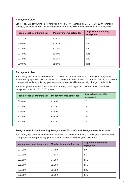#### Repayment plan 1

You'll repay 9% of your income over £341 a week, £1,481 a month or £17,775 a year. If your income changes, either rising or falling, your repayment amounts will automatically change to reflect this.

| Income each year before tax | Monthly income before tax | <b>Approximate monthly</b><br>repayment |
|-----------------------------|---------------------------|-----------------------------------------|
| £17,775                     | £1,481                    | £0                                      |
| £19,000                     | £1,583                    | £9                                      |
| £21,000                     | £1,750                    | \$24                                    |
| £24,000                     | £2,000                    | £46                                     |
| £27,000                     | £2,250                    | £69                                     |
| £30,000                     | £2,500                    | £91                                     |

#### Repayment plan 2

You'll repay 9% of your income over £404 a week, £1,750 a month or £21,000 a year. Subject to Parliamentary approval, this is expected to change to £25,000 a year from 6 April 2018. If your income changes, either rising or falling, your repayment amounts will automatically change to reflect this.

The table gives some examples of what your repayments might be, based on the expected UK repayment threshold of £25,000 a year:

| Income each year before tax | Monthly income before tax | <b>Approximate monthly</b><br>repayment |
|-----------------------------|---------------------------|-----------------------------------------|
| £25,000                     | £2,083                    | £0                                      |
| £27,000                     | £2,250                    | £15                                     |
| £29,500                     | £2,458                    | £33                                     |
| £31,000                     | £2,583                    | £45                                     |
| £33,000                     | £2,750                    | £60                                     |

#### Postgraduate Loan (including Postgraduate Master's and Postgraduate Doctoral)

You'll repay 6% of your income over £404 a week, £1,750 a month or £21,000 a year. If your income changes, either rising or falling, your repayment amounts will change to reflect this.

| Income each year before tax | Monthly income before tax | <b>Approximate monthly</b><br>repayment |
|-----------------------------|---------------------------|-----------------------------------------|
| £21,000                     | £1,750                    | £0                                      |
| £22,000                     | £1,833                    | £4                                      |
| £23,500                     | £1,958                    | £12                                     |
| £25,000                     | £2,083                    | £19                                     |
| £27,000                     | £2,250                    | £30                                     |
| £30,000                     | £2,500                    | £45                                     |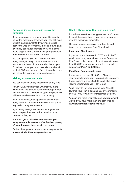#### Repaying if your income is below the threshold

If you are employed and your annual income is below the repayment threshold you may still make student loan repayments if your income goes above the weekly or monthly threshold during any given pay period, for example if you work extra hours or get a bonus which takes your pay above the threshold for that week or month.

You can apply to SLC for a refund of these repayments, but only if your annual income is less than the threshold at the end of the tax year. This does not happen automatically, you should contact SLC to request a refund. Alternatively, you can allow this to reduce your loan balance.

#### Making extra repayments

You can make voluntary repayments at any time.

However, any voluntary repayments you make won't affect the amount collected through the tax system. So, if you're employed, your employer will still have to take amounts from your salary.

If you're overseas, making additional voluntary repayments will not affect the amount that you're required to repay each month.

If you repay through self assessment, you'll still have to repay the amount due based on your income for the year.

#### You can't get a refund of any amounts you repay voluntarily, unless you've finished paying off your loan and have repaid too much.

Find out how you can make voluntary repayments at [www.studentloanrepayment.co.uk](http://www.studentloanrepayment.co.uk)

#### What if I have more than one plan type?

If you have more than one type of loan you'll repay these at the same time, as long as your income is over the repayment threshold.

Here are some examples of how it could work based on the expected Plan 2 threshold\*:

#### Plan 1 and Plan 2 loans

If your income is between £17,775 and £25,000 you'll make repayments towards your Repayment Plan 1 loan only. However, if your income is more than £25,000 your repayments will be spread across your Plan 1 and 2 loans.

#### Plan 2 and Postgraduate Loan

If your income is over £21,000 you'll make repayments towards your Postgraduate Loan only. If your income is over £25,000, you'll also make repayments towards your Plan 2 loan.

You'll repay 9% of your income over £25,000 towards your Plan 2 loan and 6% of your income over £21,000 towards your Postgraduate Loan.

You can find more information on how repayment works if you have more than one plan type at [www.studentloanrepayment.co.uk](http://www.studentloanrepayment.co.uk)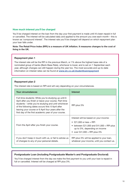#### How much interest you'll be charged

You'll be charged interest on the loan from the day your first payment is made until it's been repaid in full or cancelled. The interest will be calculated daily and applied to the amount you owe each month – this is known as 'compound interest'. The interest rate you'll be charged will depend on which repayment plan your loan falls under.

Note: The Retail Price Index (RPI) is a measure of UK inflation. It measures changes to the cost of living in the UK.

#### Repayment plan 1

The interest rate will be the RPI in the previous March, or 1% above the highest base rate of a nominated group of banks (Bank Base Rate), whichever is lower, and is set on 1 September each year, although changes can still happen during the year too. The most accurate and up-to-date information on interest rates can be found at [www.slc.co.uk/studentloanrepayment](http://www.slc.co.uk/studentloanrepayment)

#### Repayment plan 2

The interest rate is based on RPI and will vary depending on your circumstances.

| <b>Your circumstances</b>                                                                                                                                                                                                                                                                                                                   | <b>Interest</b>                                                                                                                                                                        |
|---------------------------------------------------------------------------------------------------------------------------------------------------------------------------------------------------------------------------------------------------------------------------------------------------------------------------------------------|----------------------------------------------------------------------------------------------------------------------------------------------------------------------------------------|
| Full-time students: While you're studying up until 6<br>April after you finish or leave your course. Part-time<br>students – while you're studying and until whichever<br>of the following dates occurs first: 6 April after<br>leaving your course or 6 April four years after the<br>first day of the first academic year of your course. | RPI plus 3%                                                                                                                                                                            |
| From the April after you finish your course.                                                                                                                                                                                                                                                                                                | Interest will be based on your income:<br>$\text{E21,000}$ or less = RPI<br>between £21,000 and £41,000 = RPI plus<br>up to 3%, depending on income<br>• over £41,000 = RPI plus $3\%$ |
| If you don't keep in touch with us, or fail to advise us<br>of changes to any of your personal details.                                                                                                                                                                                                                                     | RPI plus 3% will be applied to your loan,<br>whatever your income, until you contact us.                                                                                               |

#### Postgraduate Loan (including Postgraduate Master's and Postgraduate Doctoral)

You'll be charged interest from the day we make the first payment to you until your loan is repaid in full or cancelled. Interest will be charged at RPI plus 3%.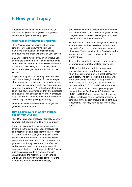### 6 How you'll repay

Repayments will be collected through the UK tax system if you're employed or through self assessment if you're self employed.

#### What happens when you're employed

 If you're an employee paying UK tax, your employer will take repayments from your pay, along with tax and National Insurance contributions and these will show on your payslip.

SLC will tell HMRC when you finish or leave your course and give them details such as your name and National Insurance number. HMRC will check to see if you're working and if you are, they'll tell your employer you have a loan (but not the amount).

Employers may also be told they need to make deductions through normal tax forms. When you change your job or start work, you may be given a P45 by your old employer. In this case, your last employer should put a 'Y' in the student loan box to let your new employer know they should start to take student loan deductions. Your new employer may also ask you to complete a starter declaration before they can start paying your salary.

You should also inform your new employer that you have a student loan.

#### How do employers know how much to deduct from your pay

HMRC will give your employer information so they can work out how much to take from your pay.

If your pay is above the relevant repayment threshold in the pay period, your employer will take repayments and pass them to HMRC. After the end of each tax year, your employer sends HMRC a final Full Payment Submission. HMRC sends this information to SLC who'll then update your account. It may take some time after the end of each tax year to update your account because of the large numbers of final Full Payment Submissions received from employers each year. However, the repayments you've made will be used to pay off your loan for the year the deductions were taken from your salary.

SLC will make sure the correct amount of interest has been added to your account, so you won't be charged any extra interest even if your repayment details take some time to reach SLC.

It's important to understand repayments taken by your employer will be worked out on 'individual pay periods' and not on your total income for a whole year. This means that if you're paid monthly, repayments will be taken and calculated on a monthly basis.

If you get tax credits, these don't count as income for working out your student loan repayment.

HMRC will only know the total amount your employer has taken over the whole tax year when they get your employer's final Full Payment Submission. The scheme works in a similar way to tax deductions. You need to keep track of what's being taken from your pay each month, because neither SLC nor HMRC will know what you still owe on your loan until your employer has sent the final Full Payment Submission to HMRC and HMRC have passed the information to SLC. Employers have a legal responsibility to send HMRC the correct amounts of student loan repayments. They may have to pay fines if they don't.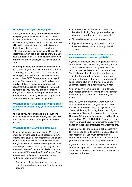#### What happens if you change jobs

When you change jobs, your previous employer may give you a P45 with a 'Y' in the 'Continue Student Loan deductions' box. If your income is above the repayment threshold your new employer will start to make student loan deductions from the first available pay day. If you don't have a P45, your employer may ask you to fill in a starter declaration which has a tick box to show that you have a student loan. You must either tick the box or advise your new employer you have a student loan.

If your repayments don't start when they should, you should let your employer know. If the problem continues, you should contact SLC with your new employer's details, such as their name and address, their PAYE Reference and your payroll number. This information can be found on your payslip, P60 or by speaking to your payroll department. If you're self employed, HMRC will be able to tell you how you should be making repayments. If you're working outside the UK for more than three months, please see page 13 for information on how to make repayments.

#### What happens if your employer goes out of business or doesn't pay your deductions to **HMRC**

As long as you have evidence that deductions have been taken, such as your payslips, SLC will credit the full amount of the repayments to your account.

#### What happens if you're self employed

If you're self employed, you'll send HMRC a tax return each year under the self-assessment (SA) system. Your student loan repayments will be due as part of your SA bill for tax. The student loan repayment will be based on all your gross income over the applicable threshold, including all your unearned income (for example, dividend income from shares) if it's more than £2,000 a year. There are some general points to remember when working out your income each year:

• The income of your husband, wife, partner, parent or any other relative won't be taken into account.

- Income from Child Benefit and disability benefits, including Employment and Support allowance, won't be taken into account.
- Tax credits won't be taken into account.
- If you make voluntary repayments, you'll still have to make repayments through the SA system.

#### Employees who are also asked to make self-assessment returns by HMRC

If you're an employee who also gets a tax return under the self-assessment (SA) system, you may have to make some loan repayments with the return, as well as those taken by your employer. The total amount of student loan you have to repay for the year will be based on your total income for the year – that is, all your appropriate PAYE income plus any extra income and any unearned income (if it's above £2,000 a year).

You can claim credit in your tax return for any student loan amounts your employer has already taken during the year so you don't repay too much.

Like PAYE, the SA system will work out your loan repayments based on your income above the relevant threshold. Any SA payment will be due on 31 January following the tax year of your assessment. You can find information on how to fill in your SA return in the guidance and booklets provided by HMRC. If HMRC don't send you a tax return, you won't have to make further repayments on top of those your employers are already taking.

If you pay UK tax and you get a self-assessment tax return, you should use this to declare student loan repayments. You must fill this form in correctly and return it on time. You must also pay your tax and student loan repayment on time.

If you don't do this, you may have to pay interest and financial penalties. This is because student loans will be treated in the same way as tax for the purposes of this form.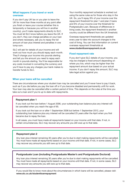#### What happens if you travel or work overseas

If you don't pay UK tax or you plan to leave the UK for more than three months at any point after you finish or leave your course (whether this is temporarily or because you will live in another country), you'll make repayments directly to SLC. You must let SLC know before you leave the UK. If you don't, they can charge penalties on your loan and where necessary, ask you to repay the full amount of loan plus interest and penalties in one lump sum.

SLC will ask for details of your income and will work out how much you should repay each month. They'll change your income into pounds sterling and tell you the amount you need to repay each month in pounds sterling. You'll be responsible for any costs involved in converting the currency and you'll have to pay any charges your bank makes to transfer funds to SLC.

Your monthly repayment schedule is worked out using the same rules as for those who stay in the UK. So, you'll repay 9% of your income over the repayment threshold for plan 1 and plan 2 loans and 6% of your income over the threshold for Postgraduate Loan. Because of differences in living costs, the repayment threshold in another country could be different from the UK threshold.

Overseas repayment thresholds are updated every year to take into account changes to the cost of living. You can find information on current overseas repayment thresholds at <www.studentloanrepayment.co.uk>

#### Fixed repayment rate

If you don't give SLC details of your income, you may be charged a fixed amount depending on where you live, which may be higher than the repayment amount due based on your actual income. If you don't repay this amount, SLC may take legal action against you.

#### When your loans will be cancelled

There are circumstances where your student loan may be cancelled and you'll never have to pay it back, such as if you die before you pay the loan off or if you become disabled and permanently unfit for work. Your loan may also be cancelled after a certain period of time. This depends on the rules at the time you take out a loan and if you're up to date with repayments.

#### Repayment plan 1

If you took out the loan before 1 August 2006, your outstanding loan balance plus any interest will be cancelled when you reach the age of 65.

If you took out the loan on or after 1 September 2006 but before 1 September 2012, your outstanding loan balance plus any interest will be cancelled 25 years after the April when you first became due to repay the loan.

In all cases, you must have made all repayments based on your income until that date. If not, in certain circumstances, SLC may recover any amounts you still owe up to that date.

#### Repayment plan 2

Any loan plus interest remaining 30 years after you're due to start making repayments will be cancelled. You must have made all repayments based on your income until that date. If not, in some cases, SLC may recover any amounts you still owe up to that date.

#### Postgraduate Loan (including Postgraduate Master's and Postgraduate Doctoral)

Any loan plus interest remaining 30 years after you're due to start making repayments will be cancelled. You must have made all repayments based on your income until that date. If not, in some cases, SLC may recover any amounts you still owe up to that date.

If you would like to know more about the circumstances in which loans will be cancelled, please visit: [www.slc.co.uk/studentloanrepayment](http://www.slc.co.uk/studentloanrepayment)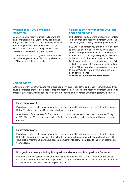#### What happens if you don't make repayments

By law, you must repay your loan in line with the loan contract and regulations. If you don't make repayments SLC have the right to take legal action to recover your debt. This means SLC can get a court order to make you repay the total plus interest and penalties in a single payment.

This can be enforced through the courts as a civil debt whether you're in the UK or living abroad and you'll be responsible for all costs.

#### Coming to the end of repaying your loan avoid over repaying

In the last four to 23 months of repaying your loan you can change to repaying by Direct Debit. This will mean you're unlikely to over repay your loan.

SLC will try to contact you shortly before this time to offer you this option. However, if you know you're getting near this point, you should get in touch with SLC to arrange to repay your balance in this way. You'll then have to pay your Direct Debit every month on the agreed date. If you fail to make the payment, SLC may remove this option and you'll have to go back to repaying your loan through PAYE. To find out more about the direct [debit scheme go to:](http://www.slc.co.uk/studentloanrepayment ) 

www.slc.co.uk/studentloanrepayment

#### Over repayment

SLC will do everything they can to make sure you don't over repay at the end of your loan. However if you haven't contacted them to set a date to stop the repayments or to switch to repaying by Direct Debit, you'll probably over repay. If this happens, you'll get a full refund of the over repayments together with interest.

#### Repayment plan 1

If you have a credit balance when your loan has been repaid in full, interest will be paid at the rate of RPI or 1% above the Bank Base Rate, whichever is lower.

After the end of the tax year, SLC will write to you to advise interest will accrue for a further 60 days at RPI. After the 60 days have passed, no further interest will be added to the credit balance on your account.

#### Repayment plan 2

If you have a credit balance when your loan has been repaid in full, interest will be paid at the rate of RPI. After the end of the tax year, SLC will write to you to advise interest will accrue for a further 60 days at RPI. After the 60 days have passed, no further interest will be added to the credit balance on your account.

#### Postgraduate Loan (including Postgraduate Master's and Postgraduate Doctoral)

If you have a credit balance when your loan has been repaid in full, SLC will write to you to advise interest will accrue for a further 60 days at RPI+3%. After the 60 days have passed, no further interest will be added to the credit balance on your account.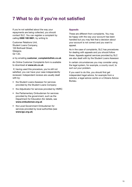### 7 What to do if you're not satisfied

If you're not satisfied about the way your repayments are being collected, you should contact SLC. You can register a complaint by calling 0300 100 0601, by writing to

Customer Relations Unit, Student Loans Company, 100 Bothwell Street, Glasgow, G2 7JD,

or by emailing [customer\\_complaints@slc.co.uk](mailto:customer_complaints@slc.co.uk)

An Online Customer Complaints form is available to download at <www.slc.co.uk>

 If, having used this procedure, you're still not satisfied, you can have your case independently reviewed. Independent reviews are usually dealt with by:

- the Student Loans Assessor for services provided by the Student Loans Company
- the Adjudicator for services provided by HMRC
- the Parliamentary Ombudsman for services provided by the government, such as the Department for Education (for details, see [www.ombudsman.org.uk](http://www.ombudsman.org.uk)
- the Local Government Ombudsman for services provided by local authorities (see [www.lgo.org.uk](http://www.lgo.org.uk))

#### Appeals

These are different from complaints. You may be happy with the way your account has been handled but you may feel that a decision about your account is not correct and you want to appeal.

As in the case of complaints, SLC has procedures for dealing with appeals and you should follow these. Appeals against services provided by SLC are also dealt with by the Student Loans Assesso r.

In certain circumstances you may consider using the legal system, for example, a county court, to sort out your problem.

If you want to do this, you should first get independent legal advice, for example from a solicitor, a legal advice centre or a Citizens Advice Bureau.